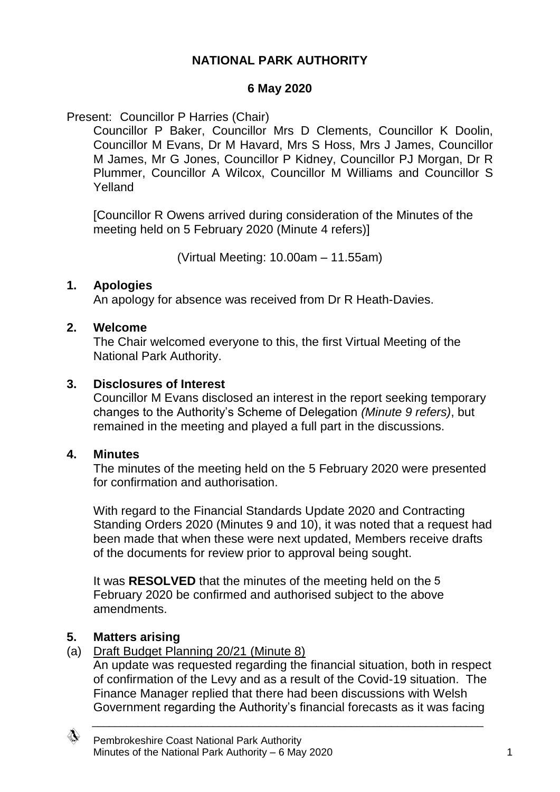# **NATIONAL PARK AUTHORITY**

#### **6 May 2020**

#### Present: Councillor P Harries (Chair)

Councillor P Baker, Councillor Mrs D Clements, Councillor K Doolin, Councillor M Evans, Dr M Havard, Mrs S Hoss, Mrs J James, Councillor M James, Mr G Jones, Councillor P Kidney, Councillor PJ Morgan, Dr R Plummer, Councillor A Wilcox, Councillor M Williams and Councillor S Yelland

[Councillor R Owens arrived during consideration of the Minutes of the meeting held on 5 February 2020 (Minute 4 refers)]

(Virtual Meeting: 10.00am – 11.55am)

#### **1. Apologies**

An apology for absence was received from Dr R Heath-Davies.

#### **2. Welcome**

The Chair welcomed everyone to this, the first Virtual Meeting of the National Park Authority.

#### **3. Disclosures of Interest**

Councillor M Evans disclosed an interest in the report seeking temporary changes to the Authority's Scheme of Delegation *(Minute 9 refers)*, but remained in the meeting and played a full part in the discussions.

#### **4. Minutes**

The minutes of the meeting held on the 5 February 2020 were presented for confirmation and authorisation.

With regard to the Financial Standards Update 2020 and Contracting Standing Orders 2020 (Minutes 9 and 10), it was noted that a request had been made that when these were next updated, Members receive drafts of the documents for review prior to approval being sought.

It was **RESOLVED** that the minutes of the meeting held on the 5February 2020 be confirmed and authorised subject to the above amendments.

### **5. Matters arising**

### (a) Draft Budget Planning 20/21 (Minute 8)

An update was requested regarding the financial situation, both in respect of confirmation of the Levy and as a result of the Covid-19 situation. The Finance Manager replied that there had been discussions with Welsh Government regarding the Authority's financial forecasts as it was facing

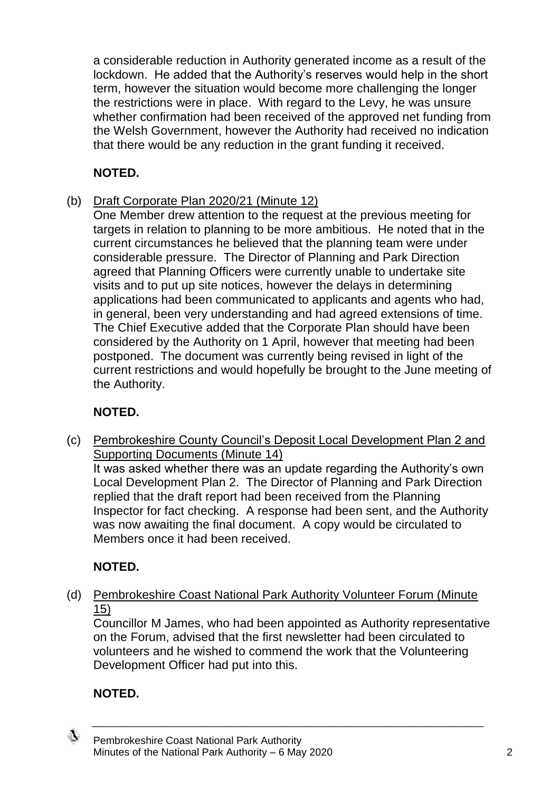a considerable reduction in Authority generated income as a result of the lockdown. He added that the Authority's reserves would help in the short term, however the situation would become more challenging the longer the restrictions were in place. With regard to the Levy, he was unsure whether confirmation had been received of the approved net funding from the Welsh Government, however the Authority had received no indication that there would be any reduction in the grant funding it received.

# **NOTED.**

- (b) Draft Corporate Plan 2020/21 (Minute 12)
	- One Member drew attention to the request at the previous meeting for targets in relation to planning to be more ambitious. He noted that in the current circumstances he believed that the planning team were under considerable pressure. The Director of Planning and Park Direction agreed that Planning Officers were currently unable to undertake site visits and to put up site notices, however the delays in determining applications had been communicated to applicants and agents who had, in general, been very understanding and had agreed extensions of time. The Chief Executive added that the Corporate Plan should have been considered by the Authority on 1 April, however that meeting had been postponed. The document was currently being revised in light of the current restrictions and would hopefully be brought to the June meeting of the Authority.

# **NOTED.**

(c) Pembrokeshire County Council's Deposit Local Development Plan 2 and Supporting Documents (Minute 14) It was asked whether there was an update regarding the Authority's own

Local Development Plan 2. The Director of Planning and Park Direction replied that the draft report had been received from the Planning Inspector for fact checking. A response had been sent, and the Authority was now awaiting the final document. A copy would be circulated to Members once it had been received.

# **NOTED.**

(d) Pembrokeshire Coast National Park Authority Volunteer Forum (Minute 15)

Councillor M James, who had been appointed as Authority representative on the Forum, advised that the first newsletter had been circulated to volunteers and he wished to commend the work that the Volunteering Development Officer had put into this.

\_\_\_\_\_\_\_\_\_\_\_\_\_\_\_\_\_\_\_\_\_\_\_\_\_\_\_\_\_\_\_\_\_\_\_\_\_\_\_\_\_\_\_\_\_\_\_\_\_\_\_\_\_\_\_\_\_\_\_\_\_\_\_\_\_\_\_\_

# **NOTED.**

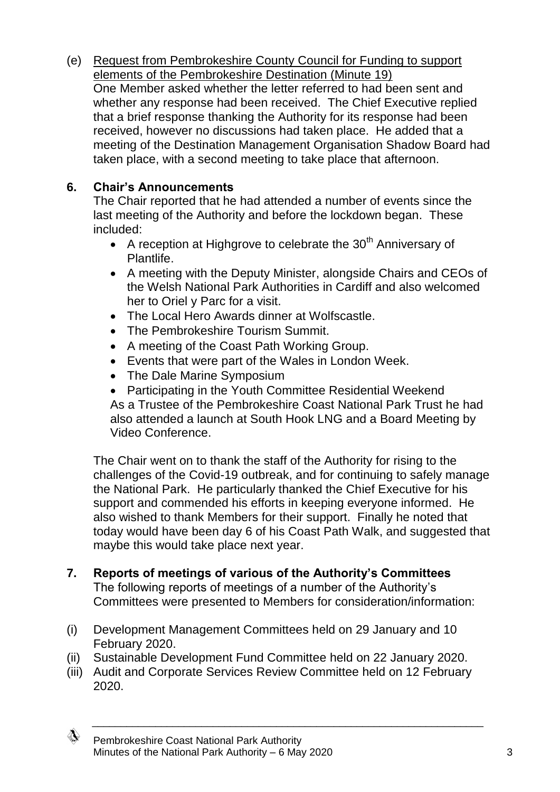(e) Request from Pembrokeshire County Council for Funding to support elements of the Pembrokeshire Destination (Minute 19) One Member asked whether the letter referred to had been sent and whether any response had been received. The Chief Executive replied that a brief response thanking the Authority for its response had been received, however no discussions had taken place. He added that a meeting of the Destination Management Organisation Shadow Board had taken place, with a second meeting to take place that afternoon.

# **6. Chair's Announcements**

The Chair reported that he had attended a number of events since the last meeting of the Authority and before the lockdown began. These included:

- A reception at Highgrove to celebrate the  $30<sup>th</sup>$  Anniversary of Plantlife.
- A meeting with the Deputy Minister, alongside Chairs and CEOs of the Welsh National Park Authorities in Cardiff and also welcomed her to Oriel y Parc for a visit.
- The Local Hero Awards dinner at Wolfscastle.
- The Pembrokeshire Tourism Summit.
- A meeting of the Coast Path Working Group.
- Events that were part of the Wales in London Week.
- The Dale Marine Symposium
- Participating in the Youth Committee Residential Weekend As a Trustee of the Pembrokeshire Coast National Park Trust he had also attended a launch at South Hook LNG and a Board Meeting by

Video Conference.

The Chair went on to thank the staff of the Authority for rising to the challenges of the Covid-19 outbreak, and for continuing to safely manage the National Park. He particularly thanked the Chief Executive for his support and commended his efforts in keeping everyone informed. He also wished to thank Members for their support. Finally he noted that today would have been day 6 of his Coast Path Walk, and suggested that maybe this would take place next year.

- **7. Reports of meetings of various of the Authority's Committees** The following reports of meetings of a number of the Authority's Committees were presented to Members for consideration/information:
- (i) Development Management Committees held on 29 January and 10 February 2020.
- (ii) Sustainable Development Fund Committee held on 22 January 2020.
- (iii) Audit and Corporate Services Review Committee held on 12 February 2020.

\_\_\_\_\_\_\_\_\_\_\_\_\_\_\_\_\_\_\_\_\_\_\_\_\_\_\_\_\_\_\_\_\_\_\_\_\_\_\_\_\_\_\_\_\_\_\_\_\_\_\_\_\_\_\_\_\_\_\_\_\_\_\_\_\_\_\_\_



Pembrokeshire Coast National Park Authority Minutes of the National Park Authority – 6 May 2020 3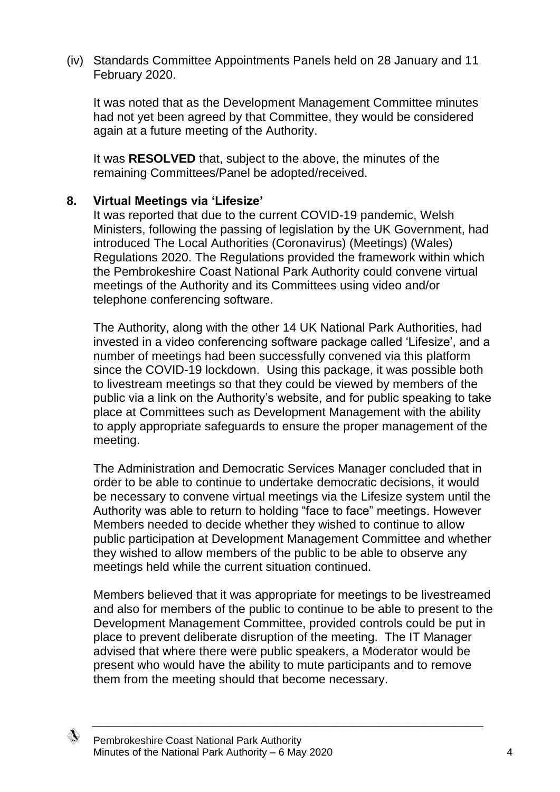(iv) Standards Committee Appointments Panels held on 28 January and 11 February 2020.

It was noted that as the Development Management Committee minutes had not yet been agreed by that Committee, they would be considered again at a future meeting of the Authority.

It was **RESOLVED** that, subject to the above, the minutes of the remaining Committees/Panel be adopted/received.

### **8. Virtual Meetings via 'Lifesize'**

It was reported that due to the current COVID-19 pandemic, Welsh Ministers, following the passing of legislation by the UK Government, had introduced The Local Authorities (Coronavirus) (Meetings) (Wales) Regulations 2020. The Regulations provided the framework within which the Pembrokeshire Coast National Park Authority could convene virtual meetings of the Authority and its Committees using video and/or telephone conferencing software.

The Authority, along with the other 14 UK National Park Authorities, had invested in a video conferencing software package called 'Lifesize', and a number of meetings had been successfully convened via this platform since the COVID-19 lockdown. Using this package, it was possible both to livestream meetings so that they could be viewed by members of the public via a link on the Authority's website, and for public speaking to take place at Committees such as Development Management with the ability to apply appropriate safeguards to ensure the proper management of the meeting.

The Administration and Democratic Services Manager concluded that in order to be able to continue to undertake democratic decisions, it would be necessary to convene virtual meetings via the Lifesize system until the Authority was able to return to holding "face to face" meetings. However Members needed to decide whether they wished to continue to allow public participation at Development Management Committee and whether they wished to allow members of the public to be able to observe any meetings held while the current situation continued.

Members believed that it was appropriate for meetings to be livestreamed and also for members of the public to continue to be able to present to the Development Management Committee, provided controls could be put in place to prevent deliberate disruption of the meeting. The IT Manager advised that where there were public speakers, a Moderator would be present who would have the ability to mute participants and to remove them from the meeting should that become necessary.

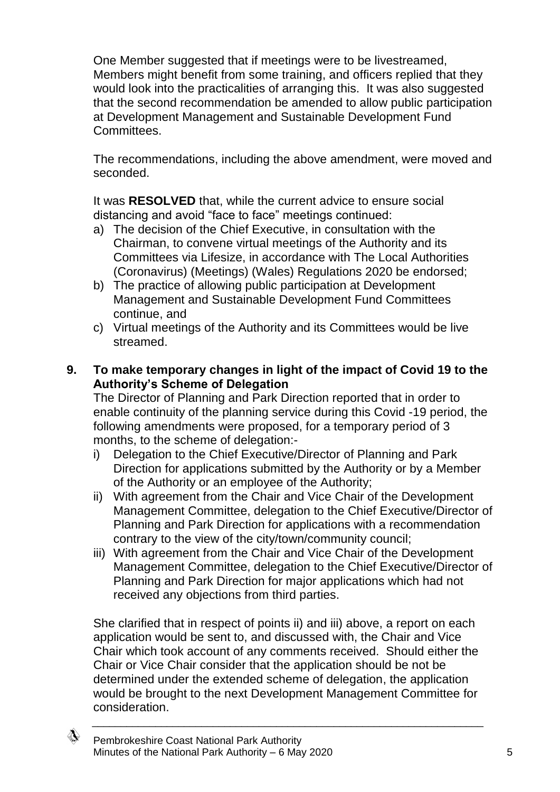One Member suggested that if meetings were to be livestreamed, Members might benefit from some training, and officers replied that they would look into the practicalities of arranging this. It was also suggested that the second recommendation be amended to allow public participation at Development Management and Sustainable Development Fund **Committees** 

The recommendations, including the above amendment, were moved and seconded.

It was **RESOLVED** that, while the current advice to ensure social distancing and avoid "face to face" meetings continued:

- a) The decision of the Chief Executive, in consultation with the Chairman, to convene virtual meetings of the Authority and its Committees via Lifesize, in accordance with The Local Authorities (Coronavirus) (Meetings) (Wales) Regulations 2020 be endorsed;
- b) The practice of allowing public participation at Development Management and Sustainable Development Fund Committees continue, and
- c) Virtual meetings of the Authority and its Committees would be live streamed.
- **9. To make temporary changes in light of the impact of Covid 19 to the Authority's Scheme of Delegation**

The Director of Planning and Park Direction reported that in order to enable continuity of the planning service during this Covid -19 period, the following amendments were proposed, for a temporary period of 3 months, to the scheme of delegation:-

- i) Delegation to the Chief Executive/Director of Planning and Park Direction for applications submitted by the Authority or by a Member of the Authority or an employee of the Authority;
- ii) With agreement from the Chair and Vice Chair of the Development Management Committee, delegation to the Chief Executive/Director of Planning and Park Direction for applications with a recommendation contrary to the view of the city/town/community council;
- iii) With agreement from the Chair and Vice Chair of the Development Management Committee, delegation to the Chief Executive/Director of Planning and Park Direction for major applications which had not received any objections from third parties.

She clarified that in respect of points ii) and iii) above, a report on each application would be sent to, and discussed with, the Chair and Vice Chair which took account of any comments received. Should either the Chair or Vice Chair consider that the application should be not be determined under the extended scheme of delegation, the application would be brought to the next Development Management Committee for consideration.

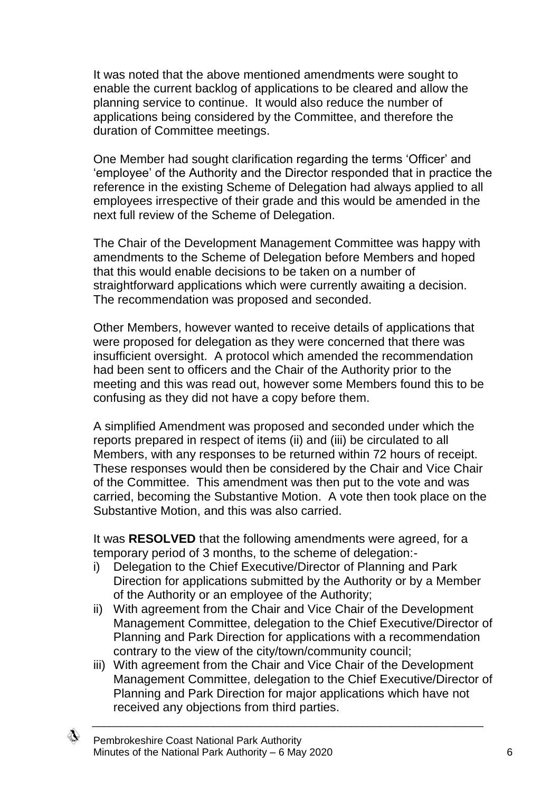It was noted that the above mentioned amendments were sought to enable the current backlog of applications to be cleared and allow the planning service to continue. It would also reduce the number of applications being considered by the Committee, and therefore the duration of Committee meetings.

One Member had sought clarification regarding the terms 'Officer' and 'employee' of the Authority and the Director responded that in practice the reference in the existing Scheme of Delegation had always applied to all employees irrespective of their grade and this would be amended in the next full review of the Scheme of Delegation.

The Chair of the Development Management Committee was happy with amendments to the Scheme of Delegation before Members and hoped that this would enable decisions to be taken on a number of straightforward applications which were currently awaiting a decision. The recommendation was proposed and seconded.

Other Members, however wanted to receive details of applications that were proposed for delegation as they were concerned that there was insufficient oversight. A protocol which amended the recommendation had been sent to officers and the Chair of the Authority prior to the meeting and this was read out, however some Members found this to be confusing as they did not have a copy before them.

A simplified Amendment was proposed and seconded under which the reports prepared in respect of items (ii) and (iii) be circulated to all Members, with any responses to be returned within 72 hours of receipt. These responses would then be considered by the Chair and Vice Chair of the Committee. This amendment was then put to the vote and was carried, becoming the Substantive Motion. A vote then took place on the Substantive Motion, and this was also carried.

It was **RESOLVED** that the following amendments were agreed, for a temporary period of 3 months, to the scheme of delegation:-

- i) Delegation to the Chief Executive/Director of Planning and Park Direction for applications submitted by the Authority or by a Member of the Authority or an employee of the Authority;
- ii) With agreement from the Chair and Vice Chair of the Development Management Committee, delegation to the Chief Executive/Director of Planning and Park Direction for applications with a recommendation contrary to the view of the city/town/community council;
- iii) With agreement from the Chair and Vice Chair of the Development Management Committee, delegation to the Chief Executive/Director of Planning and Park Direction for major applications which have not received any objections from third parties.

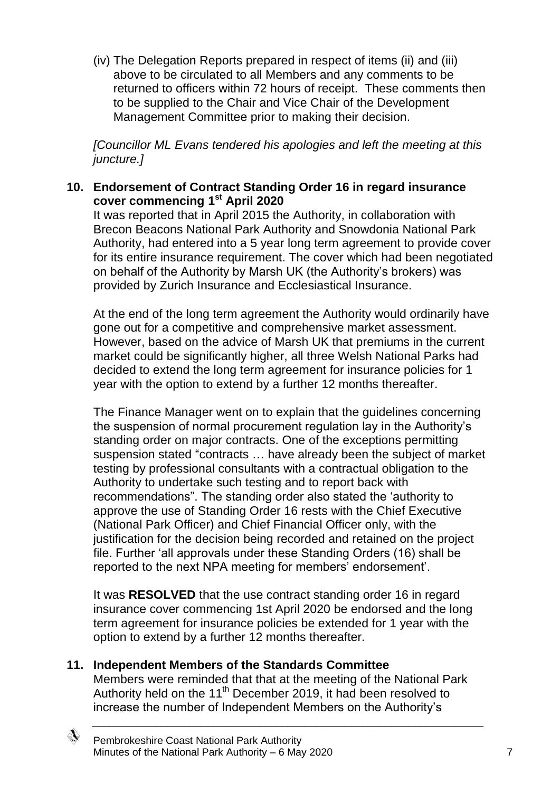(iv) The Delegation Reports prepared in respect of items (ii) and (iii) above to be circulated to all Members and any comments to be returned to officers within 72 hours of receipt. These comments then to be supplied to the Chair and Vice Chair of the Development Management Committee prior to making their decision.

*[Councillor ML Evans tendered his apologies and left the meeting at this juncture.]*

### **10. Endorsement of Contract Standing Order 16 in regard insurance cover commencing 1st April 2020**

It was reported that in April 2015 the Authority, in collaboration with Brecon Beacons National Park Authority and Snowdonia National Park Authority, had entered into a 5 year long term agreement to provide cover for its entire insurance requirement. The cover which had been negotiated on behalf of the Authority by Marsh UK (the Authority's brokers) was provided by Zurich Insurance and Ecclesiastical Insurance.

At the end of the long term agreement the Authority would ordinarily have gone out for a competitive and comprehensive market assessment. However, based on the advice of Marsh UK that premiums in the current market could be significantly higher, all three Welsh National Parks had decided to extend the long term agreement for insurance policies for 1 year with the option to extend by a further 12 months thereafter.

The Finance Manager went on to explain that the guidelines concerning the suspension of normal procurement regulation lay in the Authority's standing order on major contracts. One of the exceptions permitting suspension stated "contracts … have already been the subject of market testing by professional consultants with a contractual obligation to the Authority to undertake such testing and to report back with recommendations". The standing order also stated the 'authority to approve the use of Standing Order 16 rests with the Chief Executive (National Park Officer) and Chief Financial Officer only, with the justification for the decision being recorded and retained on the project file. Further 'all approvals under these Standing Orders (16) shall be reported to the next NPA meeting for members' endorsement'.

It was **RESOLVED** that the use contract standing order 16 in regard insurance cover commencing 1st April 2020 be endorsed and the long term agreement for insurance policies be extended for 1 year with the option to extend by a further 12 months thereafter.

### **11. Independent Members of the Standards Committee**

Members were reminded that that at the meeting of the National Park Authority held on the 11<sup>th</sup> December 2019, it had been resolved to increase the number of Independent Members on the Authority's

\_\_\_\_\_\_\_\_\_\_\_\_\_\_\_\_\_\_\_\_\_\_\_\_\_\_\_\_\_\_\_\_\_\_\_\_\_\_\_\_\_\_\_\_\_\_\_\_\_\_\_\_\_\_\_\_\_\_\_\_\_\_\_\_\_\_\_\_

◈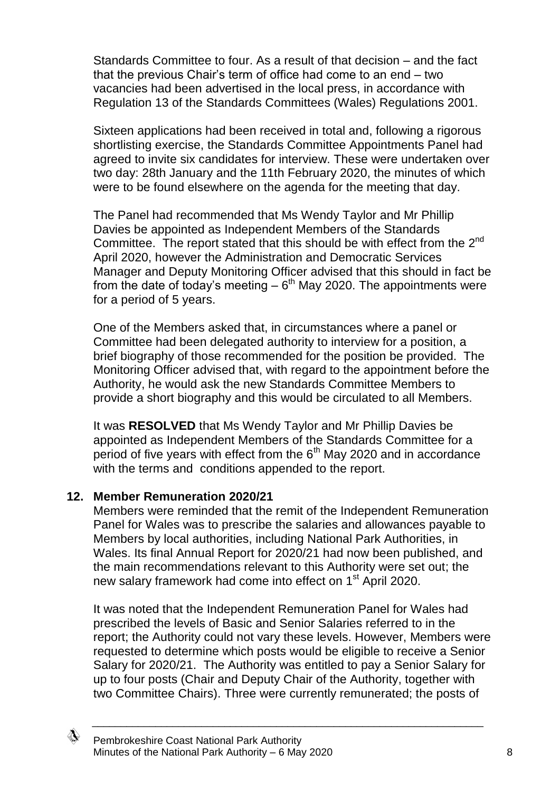Standards Committee to four. As a result of that decision – and the fact that the previous Chair's term of office had come to an end – two vacancies had been advertised in the local press, in accordance with Regulation 13 of the Standards Committees (Wales) Regulations 2001.

Sixteen applications had been received in total and, following a rigorous shortlisting exercise, the Standards Committee Appointments Panel had agreed to invite six candidates for interview. These were undertaken over two day: 28th January and the 11th February 2020, the minutes of which were to be found elsewhere on the agenda for the meeting that day.

The Panel had recommended that Ms Wendy Taylor and Mr Phillip Davies be appointed as Independent Members of the Standards Committee. The report stated that this should be with effect from the  $2^{nd}$ April 2020, however the Administration and Democratic Services Manager and Deputy Monitoring Officer advised that this should in fact be from the date of today's meeting  $-6<sup>th</sup>$  May 2020. The appointments were for a period of 5 years.

One of the Members asked that, in circumstances where a panel or Committee had been delegated authority to interview for a position, a brief biography of those recommended for the position be provided. The Monitoring Officer advised that, with regard to the appointment before the Authority, he would ask the new Standards Committee Members to provide a short biography and this would be circulated to all Members.

It was **RESOLVED** that Ms Wendy Taylor and Mr Phillip Davies be appointed as Independent Members of the Standards Committee for a period of five years with effect from the  $6<sup>th</sup>$  May 2020 and in accordance with the terms and conditions appended to the report.

### **12. Member Remuneration 2020/21**

Members were reminded that the remit of the Independent Remuneration Panel for Wales was to prescribe the salaries and allowances payable to Members by local authorities, including National Park Authorities, in Wales. Its final Annual Report for 2020/21 had now been published, and the main recommendations relevant to this Authority were set out; the new salary framework had come into effect on 1<sup>st</sup> April 2020.

It was noted that the Independent Remuneration Panel for Wales had prescribed the levels of Basic and Senior Salaries referred to in the report; the Authority could not vary these levels. However, Members were requested to determine which posts would be eligible to receive a Senior Salary for 2020/21. The Authority was entitled to pay a Senior Salary for up to four posts (Chair and Deputy Chair of the Authority, together with two Committee Chairs). Three were currently remunerated; the posts of